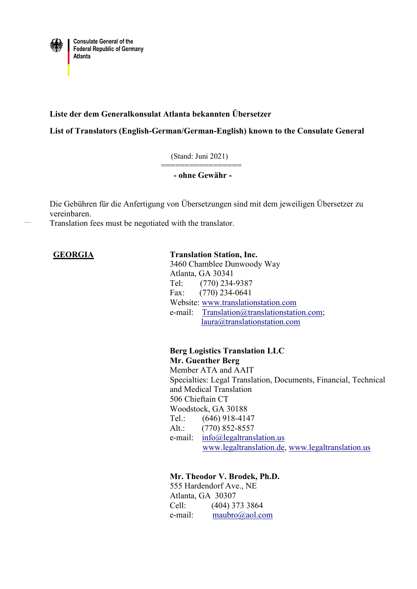

# **Liste der dem Generalkonsulat Atlanta bekannten Übersetzer**

**List of Translators (English-German/German-English) known to the Consulate General**

(Stand: Juni 2021)

**- ohne Gewähr -**

Die Gebühren für die Anfertigung von Übersetzungen sind mit dem jeweiligen Übersetzer zu vereinbaren.

Translation fees must be negotiated with the translator.

=================

### **GEORGIA Translation Station, Inc.**

3460 Chamblee Dunwoody Way Atlanta, GA 30341 Tel: (770) 234-9387 Fax: (770) 234-0641 Website: [www.translationstation.com](http://www.translationstation.com/) e-mail: [Translation@translationstation.com;](mailto:Translation@translationstation.com) [laura@translationstation.com](mailto:laura@translationstation.com)

**Berg Logistics Translation LLC Mr. Guenther Berg** Member ATA and AAIT Specialties: Legal Translation, Documents, Financial, Technical and Medical Translation 506 Chieftain CT Woodstock, GA 30188 Tel.: (646) 918-4147 Alt.: (770) 852-8557 e-mail: [info@legaltranslation.us](mailto:info@legaltranslation.us) [www.legaltranslation.de,](http://www.legaltranslation.de/) [www.legaltranslation.us](http://www.legaltranslation.us/)

**Mr. Theodor V. Brodek, Ph.D.** 555 Hardendorf Ave., NE Atlanta, GA 30307 Cell: (404) 373 3864 e-mail: [maubro@aol.com](mailto:maubro@aol.com)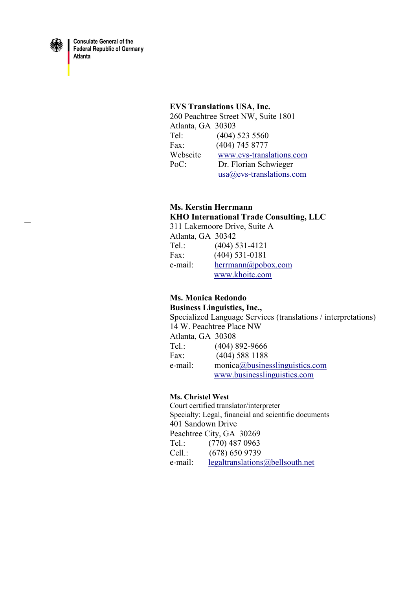

**Consulate General of the Federal Republic of Germany** Atlanta

#### **EVS Translations USA, Inc.**

260 Peachtree Street NW, Suite 1801 Atlanta, GA 30303 Tel: (404) 523 5560 Fax: (404) 745 8777 Webseite [www.evs-translations.com](http://www.evs-translations.com/) PoC: Dr. Florian Schwieger [usa@evs-translations.com](mailto:usa@evs.translations.com)

### **Ms. Kerstin Herrmann KHO International Trade Consulting, LLC**

311 Lakemoore Drive, Suite A Atlanta, GA 30342 Tel.: (404) 531-4121 Fax: (404) 531-0181 e-mail: [herrmann@pobox.com](mailto:herrmann@pobox.com) [www.khoitc.com](http://www.khoitc.com/)

# **Ms. Monica Redondo**

**Business Linguistics, Inc.,**  Specialized Language Services (translations / interpretations) 14 W. Peachtree Place NW Atlanta, GA 30308 Tel.: (404) 892-9666 Fax: (404) 588 1188 e-mail: monic[a@businesslinguistics.com](mailto:services@businesslinguistics.com) [www.businesslinguistics.com](http://www.businesslinguistics.com/)

### **Ms. Christel West**

Court certified translator/interpreter Specialty: Legal, financial and scientific documents 401 Sandown Drive Peachtree City, GA 30269 Tel.: (770) 487 0963 Cell.: (678) 650 9739 e-mail: [legaltranslations@bellsouth.net](mailto:legaltranslations@bellsouth.net)